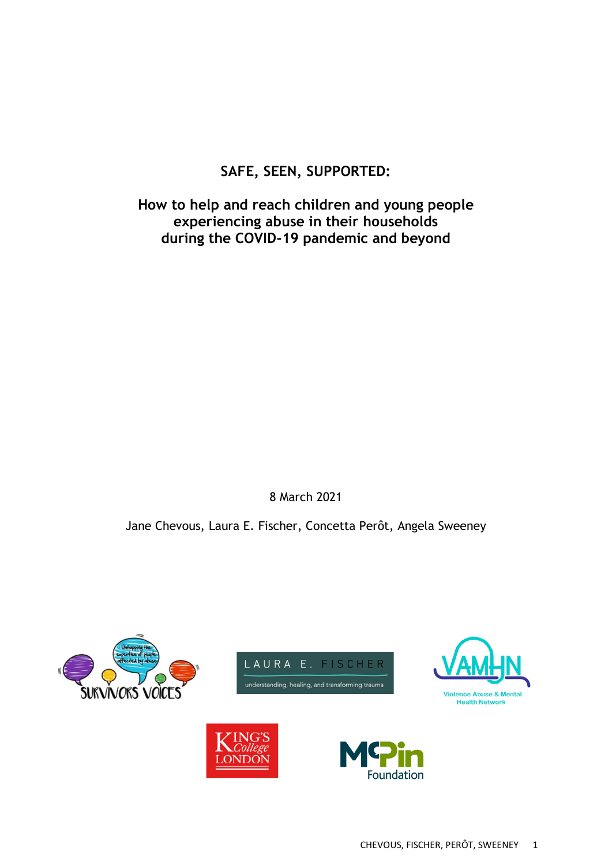# **SAFE, SEEN, SUPPORTED:**

**How to help and reach children and young people experiencing abuse in their households during the COVID-19 pandemic and beyond**

8 March 2021

Jane Chevous, Laura E. Fischer, Concetta Perôt, Angela Sweeney

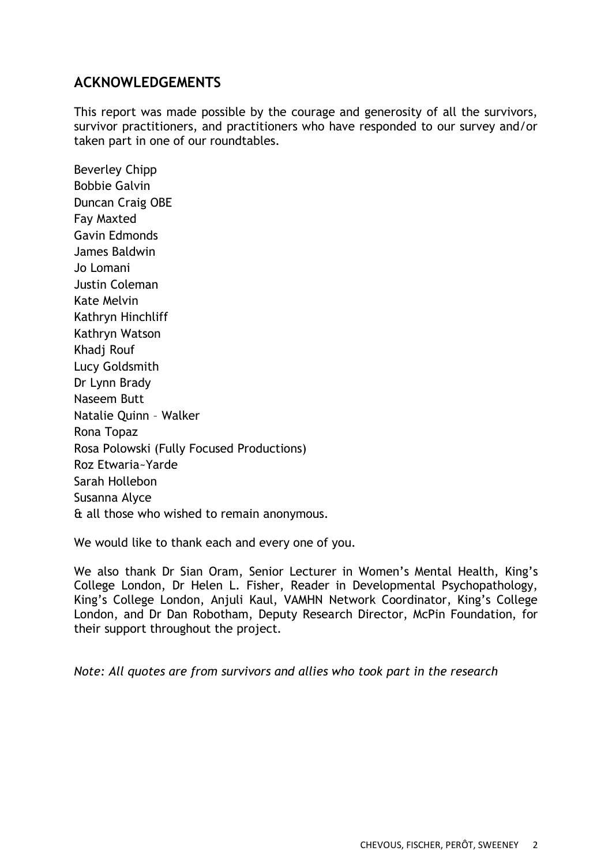## **ACKNOWLEDGEMENTS**

This report was made possible by the courage and generosity of all the survivors, survivor practitioners, and practitioners who have responded to our survey and/or taken part in one of our roundtables.

Beverley Chipp Bobbie Galvin Duncan Craig OBE Fay Maxted Gavin Edmonds James Baldwin Jo Lomani Justin Coleman Kate Melvin Kathryn Hinchliff Kathryn Watson Khadj Rouf Lucy Goldsmith Dr Lynn Brady Naseem Butt Natalie Quinn – Walker Rona Topaz Rosa Polowski (Fully Focused Productions) Roz Etwaria~Yarde Sarah Hollebon Susanna Alyce & all those who wished to remain anonymous.

We would like to thank each and every one of you.

We also thank Dr Sian Oram, Senior Lecturer in Women's Mental Health, King's College London, Dr Helen L. Fisher, Reader in Developmental Psychopathology, King's College London, Anjuli Kaul, VAMHN Network Coordinator, King's College London, and Dr Dan Robotham, Deputy Research Director, McPin Foundation, for their support throughout the project.

*Note: All quotes are from survivors and allies who took part in the research*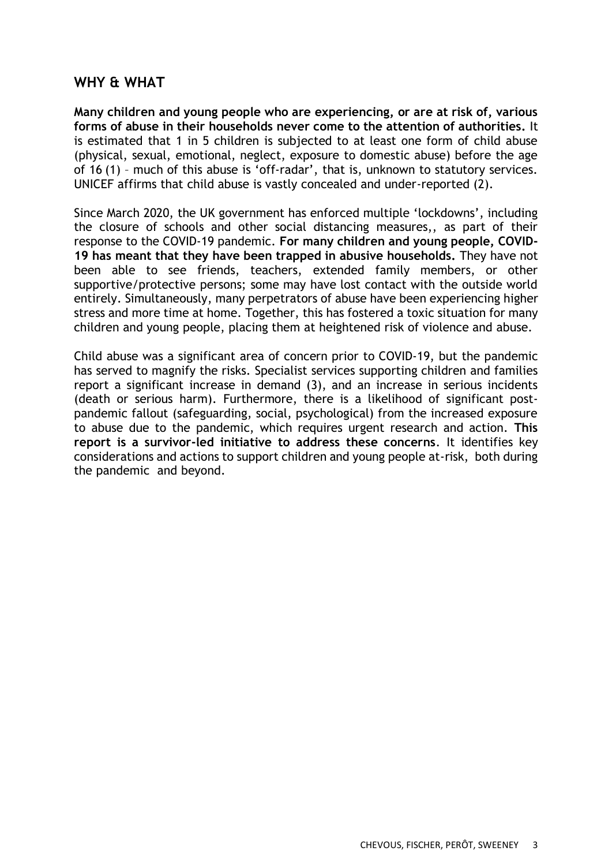## **WHY & WHAT**

**Many children and young people who are experiencing, or are at risk of, various forms of abuse in their households never come to the attention of authorities.** It is estimated that 1 in 5 children is subjected to at least one form of child abuse (physical, sexual, emotional, neglect, exposure to domestic abuse) before the age of 16 (1) – much of this abuse is 'off-radar', that is, unknown to statutory services. UNICEF affirms that child abuse is vastly concealed and under-reported (2).

Since March 2020, the UK government has enforced multiple 'lockdowns', including the closure of schools and other social distancing measures,, as part of their response to the COVID-19 pandemic. **For many children and young people, COVID-19 has meant that they have been trapped in abusive households.** They have not been able to see friends, teachers, extended family members, or other supportive/protective persons; some may have lost contact with the outside world entirely. Simultaneously, many perpetrators of abuse have been experiencing higher stress and more time at home. Together, this has fostered a toxic situation for many children and young people, placing them at heightened risk of violence and abuse.

Child abuse was a significant area of concern prior to COVID-19, but the pandemic has served to magnify the risks. Specialist services supporting children and families report a significant increase in demand (3), and an increase in serious incidents (death or serious harm). Furthermore, there is a likelihood of significant postpandemic fallout (safeguarding, social, psychological) from the increased exposure to abuse due to the pandemic, which requires urgent research and action. **This report is a survivor-led initiative to address these concerns**. It identifies key considerations and actions to support children and young people at-risk, both during the pandemic and beyond.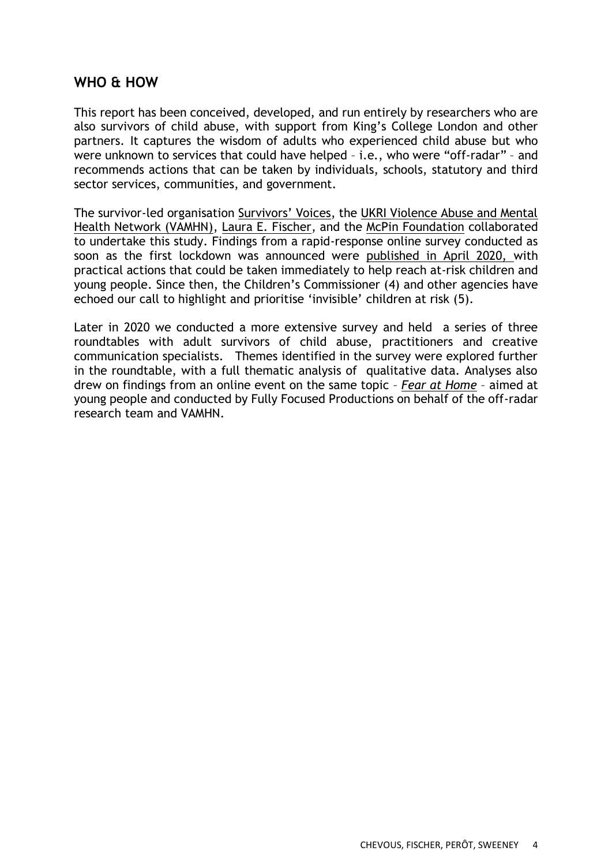## **WHO & HOW**

This report has been conceived, developed, and run entirely by researchers who are also survivors of child abuse, with support from King's College London and other partners. It captures the wisdom of adults who experienced child abuse but who were unknown to services that could have helped – i.e., who were "off-radar" – and recommends actions that can be taken by individuals, schools, statutory and third sector services, communities, and government.

The survivor-led organisation [Survivors' Voices](https://survivorsvoices.org/), the [UKRI Violence Abuse and Mental](http://www.vamhn.co.uk/)  [Health Network \(VAMHN\),](http://www.vamhn.co.uk/) [Laura E. Fischer,](https://www.laurafischer-trauma.co.uk/) and the [McPin Foundation](https://mcpin.org/) collaborated to undertake this study. Findings from a rapid-response online survey conducted as soon as the first lockdown was announced were [published in April 2020, w](http://www.vamhn.co.uk/uploads/1/2/2/7/122741688/off_radar_c_yp_at_risk_report_part_1_.pdf)ith practical actions that could be taken immediately to help reach at-risk children and young people. Since then, the Children's Commissioner (4) and other agencies have echoed our call to highlight and prioritise 'invisible' children at risk (5).

Later in 2020 we conducted a more extensive survey and held a series of three roundtables with adult survivors of child abuse, practitioners and creative communication specialists. Themes identified in the survey were explored further in the roundtable, with a full thematic analysis of qualitative data. Analyses also drew on findings from an online event on the same topic – *[Fear at Home](http://www.vamhn.co.uk/uploads/1/2/2/7/122741688/fear_at_home_report_final.pdf)* – aimed at young people and conducted by Fully Focused Productions on behalf of the off-radar research team and VAMHN.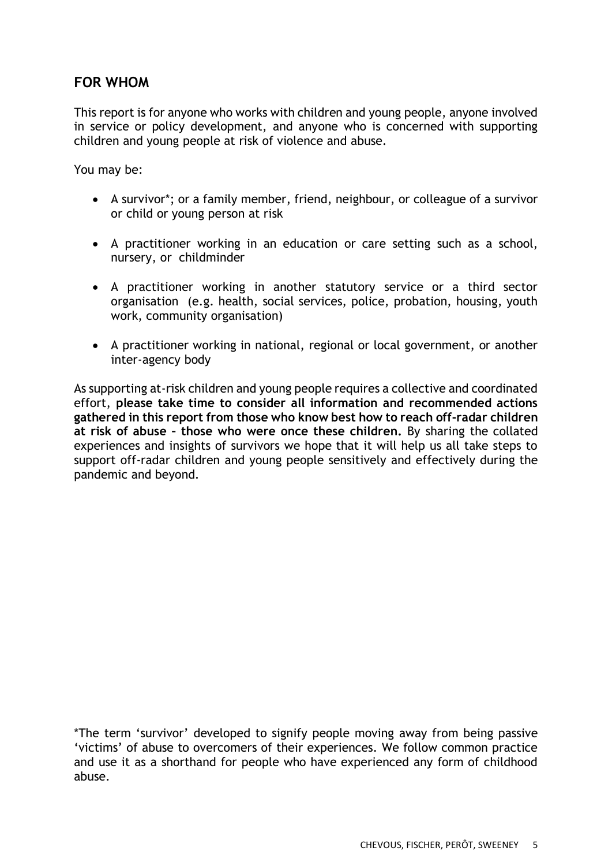## **FOR WHOM**

This report is for anyone who works with children and young people, anyone involved in service or policy development, and anyone who is concerned with supporting children and young people at risk of violence and abuse.

You may be:

- A survivor\*; or a family member, friend, neighbour, or colleague of a survivor or child or young person at risk
- A practitioner working in an education or care setting such as a school, nursery, or childminder
- A practitioner working in another statutory service or a third sector organisation (e.g. health, social services, police, probation, housing, youth work, community organisation)
- A practitioner working in national, regional or local government, or another inter-agency body

As supporting at-risk children and young people requires a collective and coordinated effort, **please take time to consider all information and recommended actions gathered in this report from those who know best how to reach off-radar children at risk of abuse – those who were once these children.** By sharing the collated experiences and insights of survivors we hope that it will help us all take steps to support off-radar children and young people sensitively and effectively during the pandemic and beyond.

\*The term 'survivor' developed to signify people moving away from being passive 'victims' of abuse to overcomers of their experiences. We follow common practice and use it as a shorthand for people who have experienced any form of childhood abuse.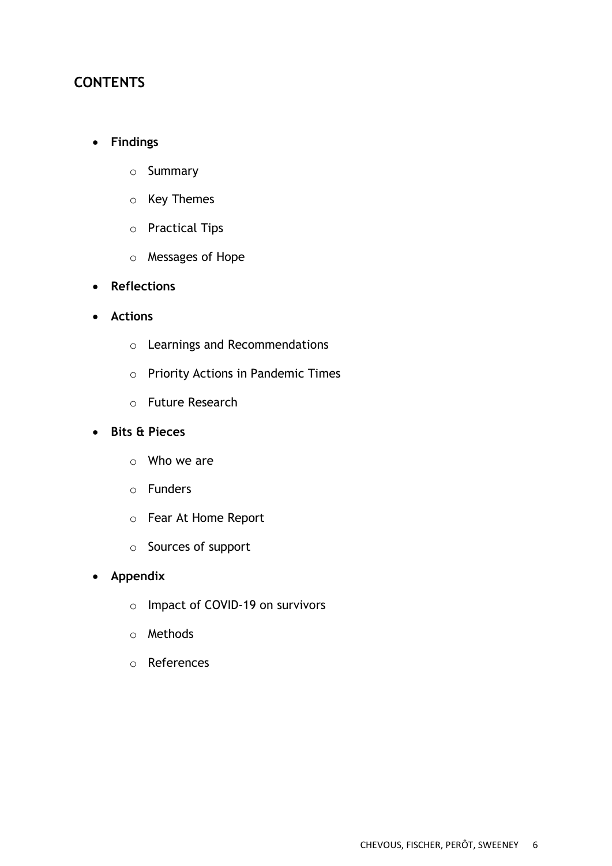## **CONTENTS**

### • **Findings**

- o Summary
- o Key Themes
- o Practical Tips
- o Messages of Hope
- **Reflections**
- **Actions**
	- o Learnings and Recommendations
	- o Priority Actions in Pandemic Times
	- o Future Research

### • **Bits & Pieces**

- o Who we are
- o Funders
- o Fear At Home Report
- o Sources of support
- **Appendix**
	- o Impact of COVID-19 on survivors
	- o Methods
	- o References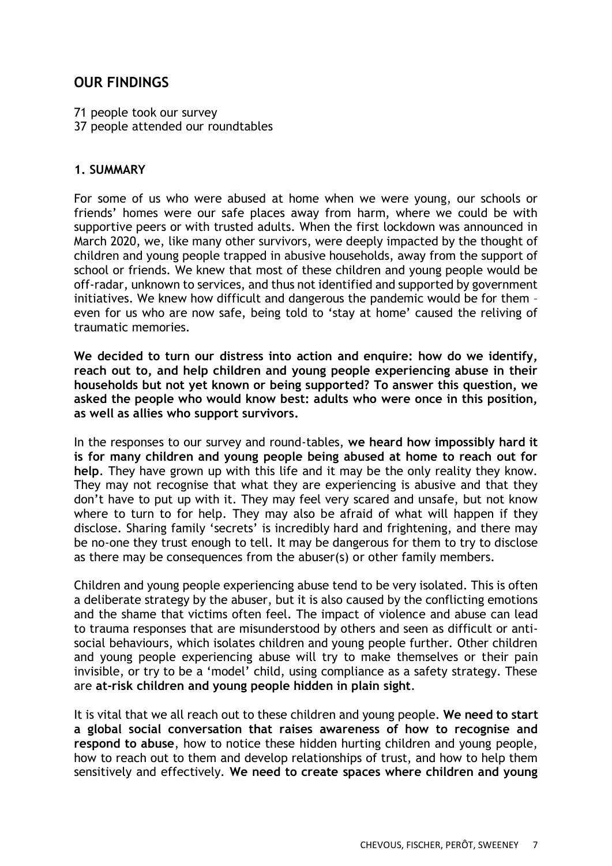## **OUR FINDINGS**

71 people took our survey

37 people attended our roundtables

### **1. SUMMARY**

For some of us who were abused at home when we were young, our schools or friends' homes were our safe places away from harm, where we could be with supportive peers or with trusted adults. When the first lockdown was announced in March 2020, we, like many other survivors, were deeply impacted by the thought of children and young people trapped in abusive households, away from the support of school or friends. We knew that most of these children and young people would be off-radar, unknown to services, and thus not identified and supported by government initiatives. We knew how difficult and dangerous the pandemic would be for them – even for us who are now safe, being told to 'stay at home' caused the reliving of traumatic memories.

**We decided to turn our distress into action and enquire: how do we identify, reach out to, and help children and young people experiencing abuse in their households but not yet known or being supported? To answer this question, we asked the people who would know best: adults who were once in this position, as well as allies who support survivors.**

In the responses to our survey and round-tables, **we heard how impossibly hard it is for many children and young people being abused at home to reach out for help**. They have grown up with this life and it may be the only reality they know. They may not recognise that what they are experiencing is abusive and that they don't have to put up with it. They may feel very scared and unsafe, but not know where to turn to for help. They may also be afraid of what will happen if they disclose. Sharing family 'secrets' is incredibly hard and frightening, and there may be no-one they trust enough to tell. It may be dangerous for them to try to disclose as there may be consequences from the abuser(s) or other family members.

Children and young people experiencing abuse tend to be very isolated. This is often a deliberate strategy by the abuser, but it is also caused by the conflicting emotions and the shame that victims often feel. The impact of violence and abuse can lead to trauma responses that are misunderstood by others and seen as difficult or antisocial behaviours, which isolates children and young people further. Other children and young people experiencing abuse will try to make themselves or their pain invisible, or try to be a 'model' child, using compliance as a safety strategy. These are **at-risk children and young people hidden in plain sight**.

It is vital that we all reach out to these children and young people. **We need to start a global social conversation that raises awareness of how to recognise and respond to abuse**, how to notice these hidden hurting children and young people, how to reach out to them and develop relationships of trust, and how to help them sensitively and effectively. **We need to create spaces where children and young**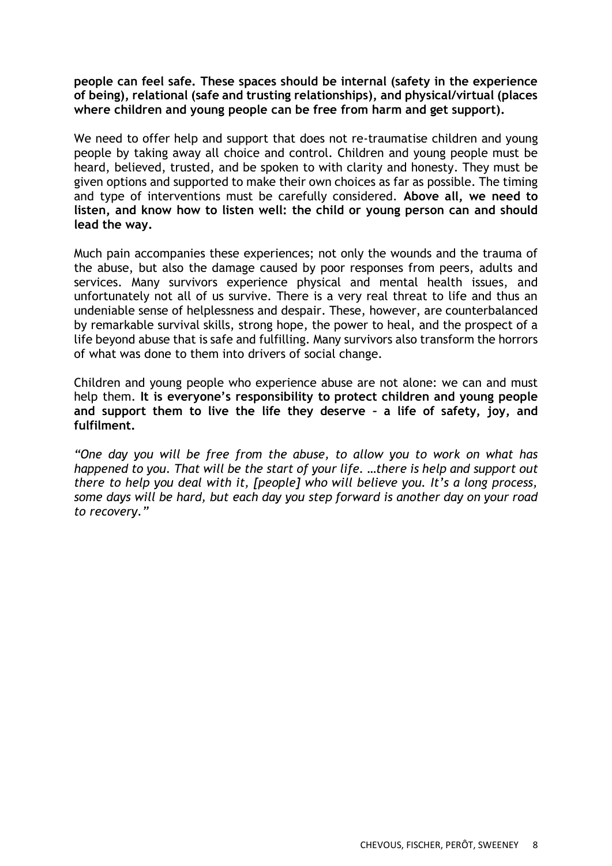#### **people can feel safe. These spaces should be internal (safety in the experience of being), relational (safe and trusting relationships), and physical/virtual (places where children and young people can be free from harm and get support).**

We need to offer help and support that does not re-traumatise children and young people by taking away all choice and control. Children and young people must be heard, believed, trusted, and be spoken to with clarity and honesty. They must be given options and supported to make their own choices as far as possible. The timing and type of interventions must be carefully considered. **Above all, we need to listen, and know how to listen well: the child or young person can and should lead the way.**

Much pain accompanies these experiences; not only the wounds and the trauma of the abuse, but also the damage caused by poor responses from peers, adults and services. Many survivors experience physical and mental health issues, and unfortunately not all of us survive. There is a very real threat to life and thus an undeniable sense of helplessness and despair. These, however, are counterbalanced by remarkable survival skills, strong hope, the power to heal, and the prospect of a life beyond abuse that is safe and fulfilling. Many survivors also transform the horrors of what was done to them into drivers of social change.

Children and young people who experience abuse are not alone: we can and must help them. **It is everyone's responsibility to protect children and young people and support them to live the life they deserve – a life of safety, joy, and fulfilment.** 

*"One day you will be free from the abuse, to allow you to work on what has happened to you. That will be the start of your life. …there is help and support out there to help you deal with it, [people] who will believe you. It's a long process, some days will be hard, but each day you step forward is another day on your road to recovery."*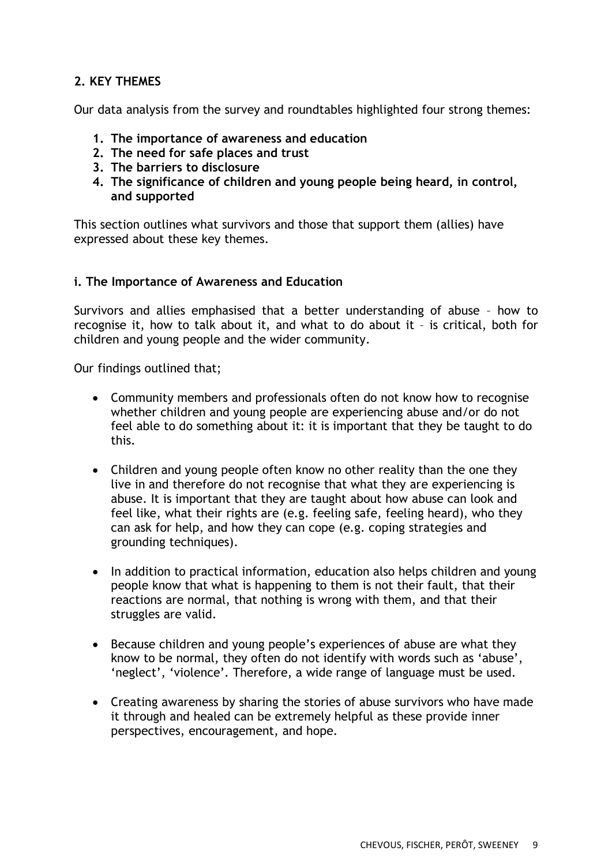## **2. KEY THEMES**

Our data analysis from the survey and roundtables highlighted four strong themes:

- **1. The importance of awareness and education**
- **2. The need for safe places and trust**
- **3. The barriers to disclosure**
- **4. The significance of children and young people being heard, in control, and supported**

This section outlines what survivors and those that support them (allies) have expressed about these key themes.

#### **i. The Importance of Awareness and Education**

Survivors and allies emphasised that a better understanding of abuse – how to recognise it, how to talk about it, and what to do about it – is critical, both for children and young people and the wider community.

Our findings outlined that;

- Community members and professionals often do not know how to recognise whether children and young people are experiencing abuse and/or do not feel able to do something about it: it is important that they be taught to do this.
- Children and young people often know no other reality than the one they live in and therefore do not recognise that what they are experiencing is abuse. It is important that they are taught about how abuse can look and feel like, what their rights are (e.g. feeling safe, feeling heard), who they can ask for help, and how they can cope (e.g. coping strategies and grounding techniques).
- In addition to practical information, education also helps children and young people know that what is happening to them is not their fault, that their reactions are normal, that nothing is wrong with them, and that their struggles are valid.
- Because children and young people's experiences of abuse are what they know to be normal, they often do not identify with words such as 'abuse', 'neglect', 'violence'. Therefore, a wide range of language must be used.
- Creating awareness by sharing the stories of abuse survivors who have made it through and healed can be extremely helpful as these provide inner perspectives, encouragement, and hope.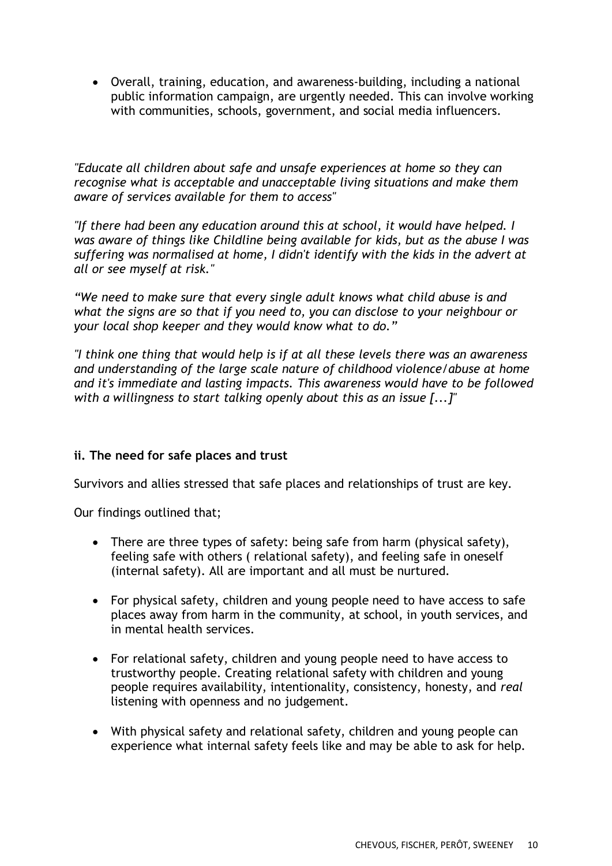• Overall, training, education, and awareness-building, including a national public information campaign, are urgently needed. This can involve working with communities, schools, government, and social media influencers.

*"Educate all children about safe and unsafe experiences at home so they can recognise what is acceptable and unacceptable living situations and make them aware of services available for them to access"*

*"If there had been any education around this at school, it would have helped. I was aware of things like Childline being available for kids, but as the abuse I was suffering was normalised at home, I didn't identify with the kids in the advert at all or see myself at risk."*

*"We need to make sure that every single adult knows what child abuse is and what the signs are so that if you need to, you can disclose to your neighbour or your local shop keeper and they would know what to do."*

*"I think one thing that would help is if at all these levels there was an awareness and understanding of the large scale nature of childhood violence/abuse at home and it's immediate and lasting impacts. This awareness would have to be followed with a willingness to start talking openly about this as an issue [...]"*

### **ii. The need for safe places and trust**

Survivors and allies stressed that safe places and relationships of trust are key.

Our findings outlined that;

- There are three types of safety: being safe from harm (physical safety), feeling safe with others ( relational safety), and feeling safe in oneself (internal safety). All are important and all must be nurtured.
- For physical safety, children and young people need to have access to safe places away from harm in the community, at school, in youth services, and in mental health services.
- For relational safety, children and young people need to have access to trustworthy people. Creating relational safety with children and young people requires availability, intentionality, consistency, honesty, and *real* listening with openness and no judgement.
- With physical safety and relational safety, children and young people can experience what internal safety feels like and may be able to ask for help.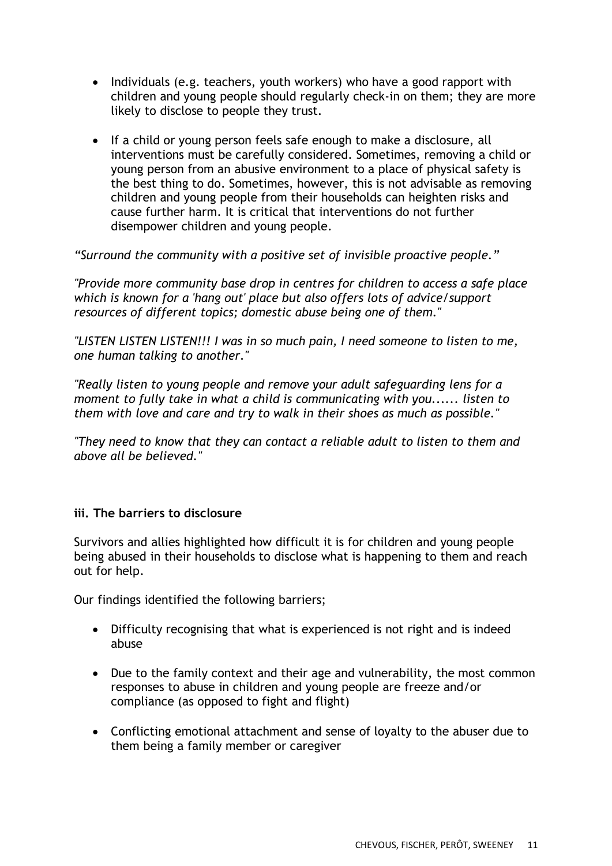- Individuals (e.g. teachers, youth workers) who have a good rapport with children and young people should regularly check-in on them; they are more likely to disclose to people they trust.
- If a child or young person feels safe enough to make a disclosure, all interventions must be carefully considered. Sometimes, removing a child or young person from an abusive environment to a place of physical safety is the best thing to do. Sometimes, however, this is not advisable as removing children and young people from their households can heighten risks and cause further harm. It is critical that interventions do not further disempower children and young people.

*"Surround the community with a positive set of invisible proactive people."*

*"Provide more community base drop in centres for children to access a safe place which is known for a 'hang out' place but also offers lots of advice/support resources of different topics; domestic abuse being one of them."*

*"LISTEN LISTEN LISTEN!!! I was in so much pain, I need someone to listen to me, one human talking to another."*

*"Really listen to young people and remove your adult safeguarding lens for a moment to fully take in what a child is communicating with you...... listen to them with love and care and try to walk in their shoes as much as possible."*

*"They need to know that they can contact a reliable adult to listen to them and above all be believed."*

#### **iii. The barriers to disclosure**

Survivors and allies highlighted how difficult it is for children and young people being abused in their households to disclose what is happening to them and reach out for help.

Our findings identified the following barriers;

- Difficulty recognising that what is experienced is not right and is indeed abuse
- Due to the family context and their age and vulnerability, the most common responses to abuse in children and young people are freeze and/or compliance (as opposed to fight and flight)
- Conflicting emotional attachment and sense of loyalty to the abuser due to them being a family member or caregiver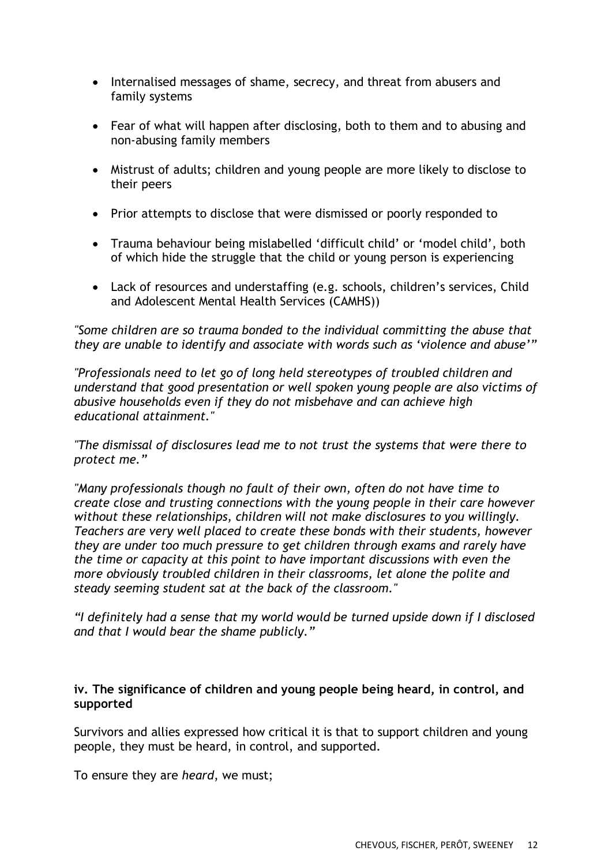- Internalised messages of shame, secrecy, and threat from abusers and family systems
- Fear of what will happen after disclosing, both to them and to abusing and non-abusing family members
- Mistrust of adults; children and young people are more likely to disclose to their peers
- Prior attempts to disclose that were dismissed or poorly responded to
- Trauma behaviour being mislabelled 'difficult child' or 'model child', both of which hide the struggle that the child or young person is experiencing
- Lack of resources and understaffing (e.g. schools, children's services, Child and Adolescent Mental Health Services (CAMHS))

*"Some children are so trauma bonded to the individual committing the abuse that they are unable to identify and associate with words such as 'violence and abuse'"*

*"Professionals need to let go of long held stereotypes of troubled children and understand that good presentation or well spoken young people are also victims of abusive households even if they do not misbehave and can achieve high educational attainment."*

*"The dismissal of disclosures lead me to not trust the systems that were there to protect me."*

*"Many professionals though no fault of their own, often do not have time to create close and trusting connections with the young people in their care however without these relationships, children will not make disclosures to you willingly. Teachers are very well placed to create these bonds with their students, however they are under too much pressure to get children through exams and rarely have the time or capacity at this point to have important discussions with even the more obviously troubled children in their classrooms, let alone the polite and steady seeming student sat at the back of the classroom."*

*"I definitely had a sense that my world would be turned upside down if I disclosed and that I would bear the shame publicly."*

#### **iv. The significance of children and young people being heard, in control, and supported**

Survivors and allies expressed how critical it is that to support children and young people, they must be heard, in control, and supported.

To ensure they are *heard*, we must;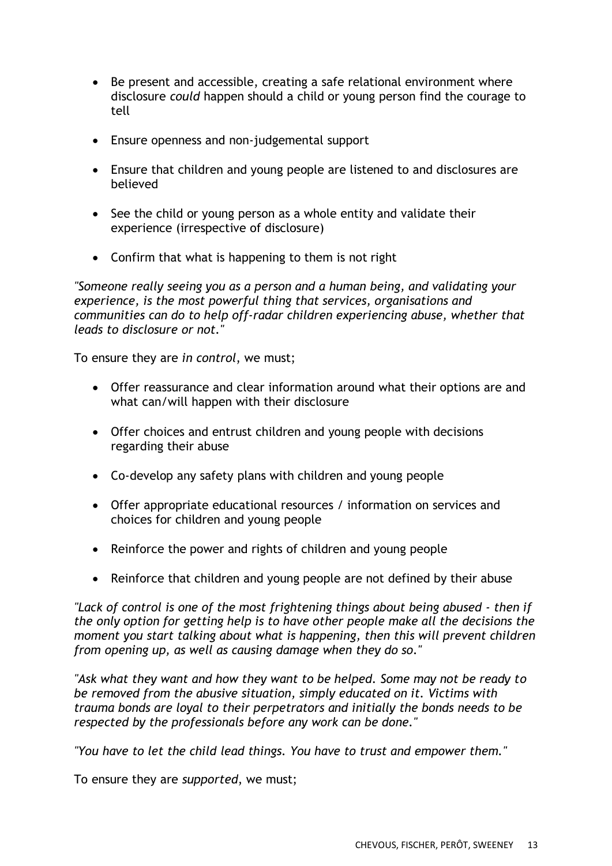- Be present and accessible, creating a safe relational environment where disclosure *could* happen should a child or young person find the courage to tell
- Ensure openness and non-judgemental support
- Ensure that children and young people are listened to and disclosures are believed
- See the child or young person as a whole entity and validate their experience (irrespective of disclosure)
- Confirm that what is happening to them is not right

*"Someone really seeing you as a person and a human being, and validating your experience, is the most powerful thing that services, organisations and communities can do to help off-radar children experiencing abuse, whether that leads to disclosure or not."*

To ensure they are *in control*, we must;

- Offer reassurance and clear information around what their options are and what can/will happen with their disclosure
- Offer choices and entrust children and young people with decisions regarding their abuse
- Co-develop any safety plans with children and young people
- Offer appropriate educational resources / information on services and choices for children and young people
- Reinforce the power and rights of children and young people
- Reinforce that children and young people are not defined by their abuse

*"Lack of control is one of the most frightening things about being abused - then if the only option for getting help is to have other people make all the decisions the moment you start talking about what is happening, then this will prevent children from opening up, as well as causing damage when they do so."*

*"Ask what they want and how they want to be helped. Some may not be ready to be removed from the abusive situation, simply educated on it. Victims with trauma bonds are loyal to their perpetrators and initially the bonds needs to be respected by the professionals before any work can be done."*

*"You have to let the child lead things. You have to trust and empower them."*

To ensure they are *supported*, we must;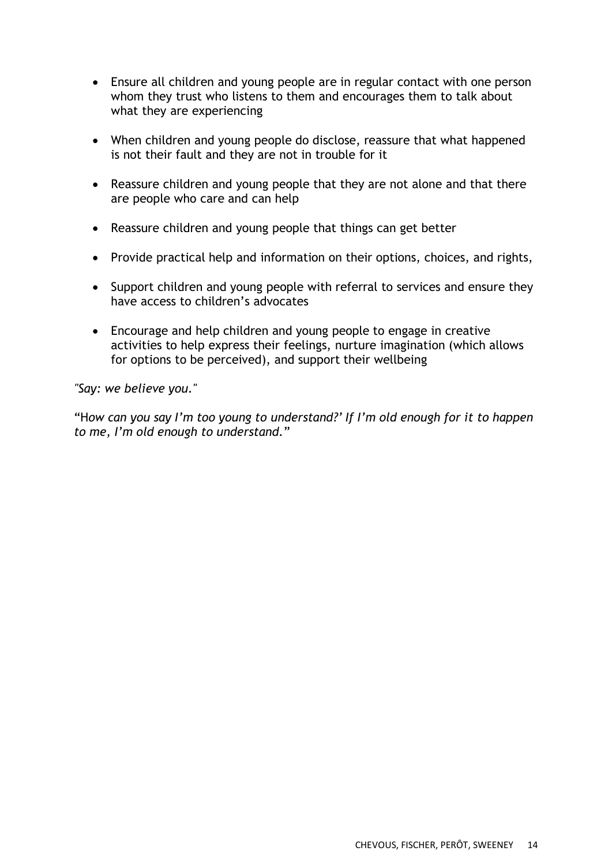- Ensure all children and young people are in regular contact with one person whom they trust who listens to them and encourages them to talk about what they are experiencing
- When children and young people do disclose, reassure that what happened is not their fault and they are not in trouble for it
- Reassure children and young people that they are not alone and that there are people who care and can help
- Reassure children and young people that things can get better
- Provide practical help and information on their options, choices, and rights,
- Support children and young people with referral to services and ensure they have access to children's advocates
- Encourage and help children and young people to engage in creative activities to help express their feelings, nurture imagination (which allows for options to be perceived), and support their wellbeing

*"Say: we believe you."*

"H*ow can you say I'm too young to understand?' If I'm old enough for it to happen to me, I'm old enough to understand.*"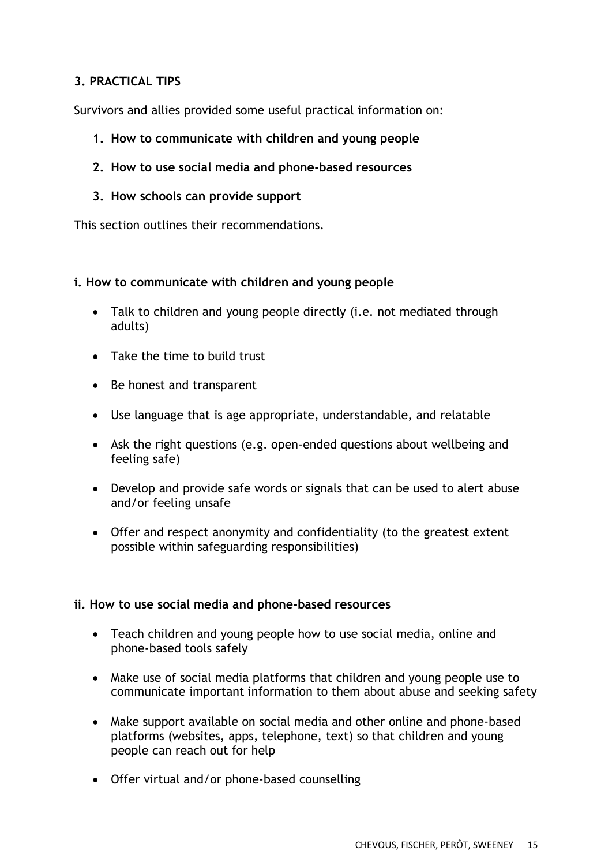## **3. PRACTICAL TIPS**

Survivors and allies provided some useful practical information on:

- **1. How to communicate with children and young people**
- **2. How to use social media and phone-based resources**
- **3. How schools can provide support**

This section outlines their recommendations.

### **i. How to communicate with children and young people**

- Talk to children and young people directly (i.e. not mediated through adults)
- Take the time to build trust
- Be honest and transparent
- Use language that is age appropriate, understandable, and relatable
- Ask the right questions (e.g. open-ended questions about wellbeing and feeling safe)
- Develop and provide safe words or signals that can be used to alert abuse and/or feeling unsafe
- Offer and respect anonymity and confidentiality (to the greatest extent possible within safeguarding responsibilities)

#### **ii. How to use social media and phone-based resources**

- Teach children and young people how to use social media, online and phone-based tools safely
- Make use of social media platforms that children and young people use to communicate important information to them about abuse and seeking safety
- Make support available on social media and other online and phone-based platforms (websites, apps, telephone, text) so that children and young people can reach out for help
- Offer virtual and/or phone-based counselling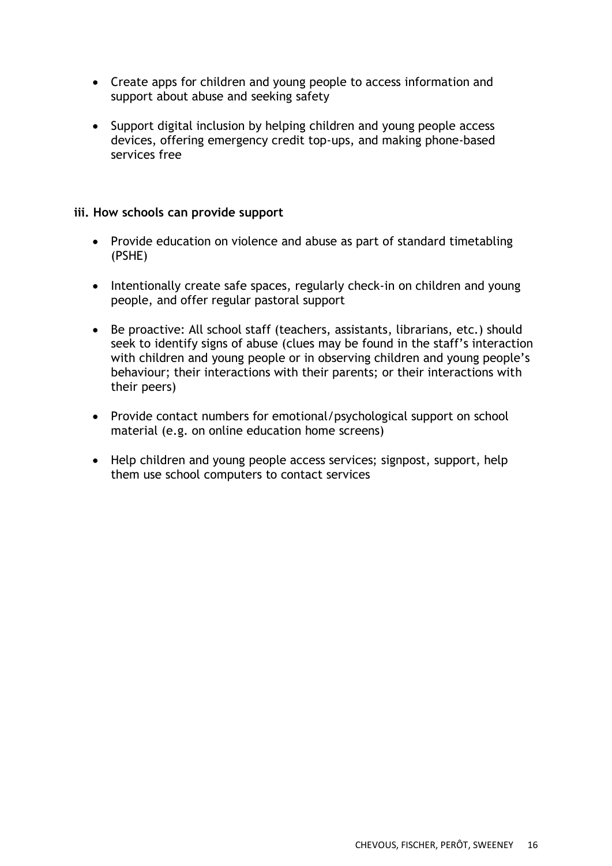- Create apps for children and young people to access information and support about abuse and seeking safety
- Support digital inclusion by helping children and young people access devices, offering emergency credit top-ups, and making phone-based services free

#### **iii. How schools can provide support**

- Provide education on violence and abuse as part of standard timetabling (PSHE)
- Intentionally create safe spaces, regularly check-in on children and young people, and offer regular pastoral support
- Be proactive: All school staff (teachers, assistants, librarians, etc.) should seek to identify signs of abuse (clues may be found in the staff's interaction with children and young people or in observing children and young people's behaviour; their interactions with their parents; or their interactions with their peers)
- Provide contact numbers for emotional/psychological support on school material (e.g. on online education home screens)
- Help children and young people access services; signpost, support, help them use school computers to contact services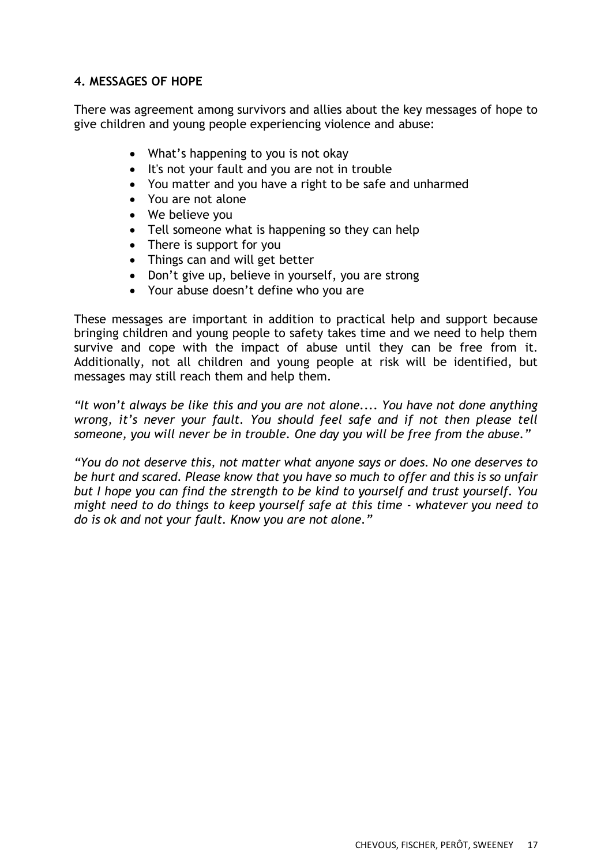### **4. MESSAGES OF HOPE**

There was agreement among survivors and allies about the key messages of hope to give children and young people experiencing violence and abuse:

- What's happening to you is not okay
- It's not your fault and you are not in trouble
- You matter and you have a right to be safe and unharmed
- You are not alone
- We believe you
- Tell someone what is happening so they can help
- There is support for you
- Things can and will get better
- Don't give up, believe in yourself, you are strong
- Your abuse doesn't define who you are

These messages are important in addition to practical help and support because bringing children and young people to safety takes time and we need to help them survive and cope with the impact of abuse until they can be free from it. Additionally, not all children and young people at risk will be identified, but messages may still reach them and help them.

*"It won't always be like this and you are not alone.... You have not done anything wrong, it's never your fault. You should feel safe and if not then please tell someone, you will never be in trouble. One day you will be free from the abuse."*

*"You do not deserve this, not matter what anyone says or does. No one deserves to be hurt and scared. Please know that you have so much to offer and this is so unfair but I hope you can find the strength to be kind to yourself and trust yourself. You might need to do things to keep yourself safe at this time - whatever you need to do is ok and not your fault. Know you are not alone."*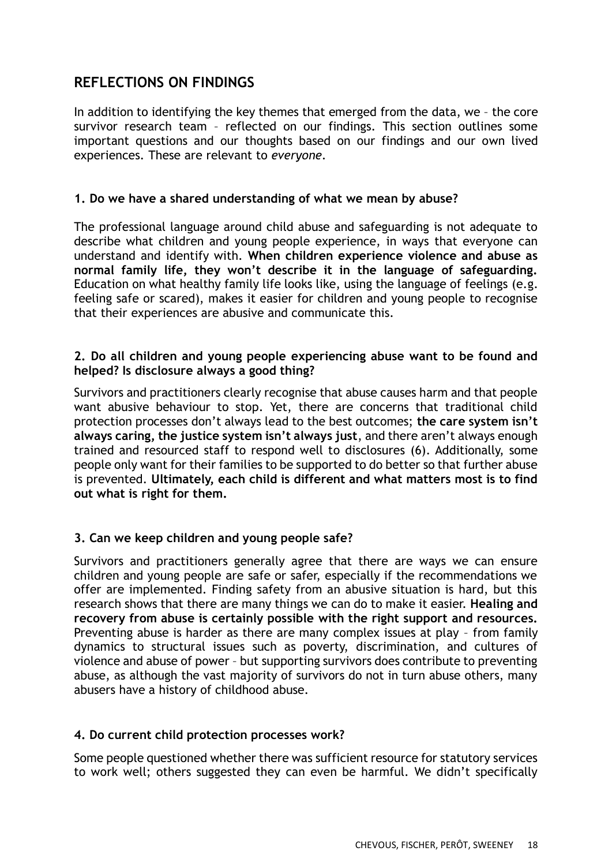## **REFLECTIONS ON FINDINGS**

In addition to identifying the key themes that emerged from the data, we – the core survivor research team – reflected on our findings. This section outlines some important questions and our thoughts based on our findings and our own lived experiences. These are relevant to *everyone*.

#### **1. Do we have a shared understanding of what we mean by abuse?**

The professional language around child abuse and safeguarding is not adequate to describe what children and young people experience, in ways that everyone can understand and identify with. **When children experience violence and abuse as normal family life, they won't describe it in the language of safeguarding.** Education on what healthy family life looks like, using the language of feelings (e.g. feeling safe or scared), makes it easier for children and young people to recognise that their experiences are abusive and communicate this.

### **2. Do all children and young people experiencing abuse want to be found and helped? Is disclosure always a good thing?**

Survivors and practitioners clearly recognise that abuse causes harm and that people want abusive behaviour to stop. Yet, there are concerns that traditional child protection processes don't always lead to the best outcomes; **the care system isn't always caring, the justice system isn't always just**, and there aren't always enough trained and resourced staff to respond well to disclosures (6). Additionally, some people only want for their families to be supported to do better so that further abuse is prevented. **Ultimately, each child is different and what matters most is to find out what is right for them.**

### **3. Can we keep children and young people safe?**

Survivors and practitioners generally agree that there are ways we can ensure children and young people are safe or safer, especially if the recommendations we offer are implemented. Finding safety from an abusive situation is hard, but this research shows that there are many things we can do to make it easier. **Healing and recovery from abuse is certainly possible with the right support and resources.** Preventing abuse is harder as there are many complex issues at play – from family dynamics to structural issues such as poverty, discrimination, and cultures of violence and abuse of power – but supporting survivors does contribute to preventing abuse, as although the vast majority of survivors do not in turn abuse others, many abusers have a history of childhood abuse.

#### **4. Do current child protection processes work?**

Some people questioned whether there was sufficient resource for statutory services to work well; others suggested they can even be harmful. We didn't specifically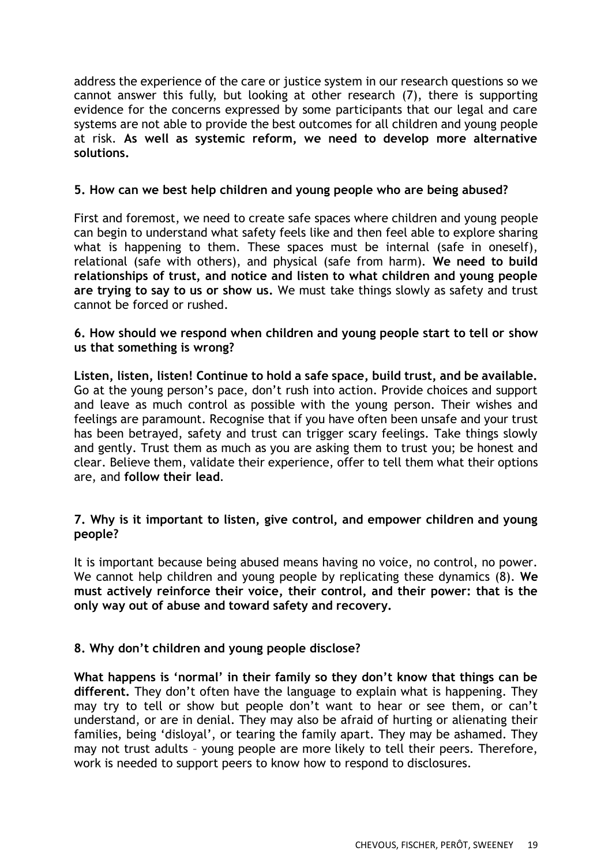address the experience of the care or justice system in our research questions so we cannot answer this fully, but looking at other research (7), there is supporting evidence for the concerns expressed by some participants that our legal and care systems are not able to provide the best outcomes for all children and young people at risk. **As well as systemic reform, we need to develop more alternative solutions.**

#### **5. How can we best help children and young people who are being abused?**

First and foremost, we need to create safe spaces where children and young people can begin to understand what safety feels like and then feel able to explore sharing what is happening to them. These spaces must be internal (safe in oneself), relational (safe with others), and physical (safe from harm). **We need to build relationships of trust, and notice and listen to what children and young people are trying to say to us or show us.** We must take things slowly as safety and trust cannot be forced or rushed.

#### **6. How should we respond when children and young people start to tell or show us that something is wrong?**

**Listen, listen, listen! Continue to hold a safe space, build trust, and be available.** Go at the young person's pace, don't rush into action. Provide choices and support and leave as much control as possible with the young person. Their wishes and feelings are paramount. Recognise that if you have often been unsafe and your trust has been betrayed, safety and trust can trigger scary feelings. Take things slowly and gently. Trust them as much as you are asking them to trust you; be honest and clear. Believe them, validate their experience, offer to tell them what their options are, and **follow their lead**.

#### **7. Why is it important to listen, give control, and empower children and young people?**

It is important because being abused means having no voice, no control, no power. We cannot help children and young people by replicating these dynamics (8). **We must actively reinforce their voice, their control, and their power: that is the only way out of abuse and toward safety and recovery.**

#### **8. Why don't children and young people disclose?**

**What happens is 'normal' in their family so they don't know that things can be different.** They don't often have the language to explain what is happening. They may try to tell or show but people don't want to hear or see them, or can't understand, or are in denial. They may also be afraid of hurting or alienating their families, being 'disloyal', or tearing the family apart. They may be ashamed. They may not trust adults – young people are more likely to tell their peers. Therefore, work is needed to support peers to know how to respond to disclosures.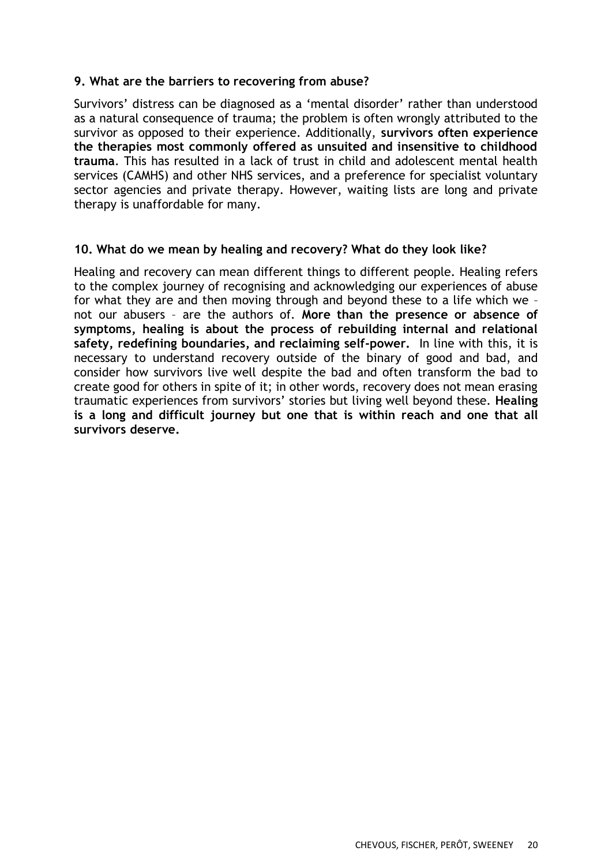#### **9. What are the barriers to recovering from abuse?**

Survivors' distress can be diagnosed as a 'mental disorder' rather than understood as a natural consequence of trauma; the problem is often wrongly attributed to the survivor as opposed to their experience. Additionally, **survivors often experience the therapies most commonly offered as unsuited and insensitive to childhood trauma**. This has resulted in a lack of trust in child and adolescent mental health services (CAMHS) and other NHS services, and a preference for specialist voluntary sector agencies and private therapy. However, waiting lists are long and private therapy is unaffordable for many.

#### **10. What do we mean by healing and recovery? What do they look like?**

Healing and recovery can mean different things to different people. Healing refers to the complex journey of recognising and acknowledging our experiences of abuse for what they are and then moving through and beyond these to a life which we – not our abusers – are the authors of. **More than the presence or absence of symptoms, healing is about the process of rebuilding internal and relational safety, redefining boundaries, and reclaiming self-power.** In line with this, it is necessary to understand recovery outside of the binary of good and bad, and consider how survivors live well despite the bad and often transform the bad to create good for others in spite of it; in other words, recovery does not mean erasing traumatic experiences from survivors' stories but living well beyond these. **Healing is a long and difficult journey but one that is within reach and one that all survivors deserve.**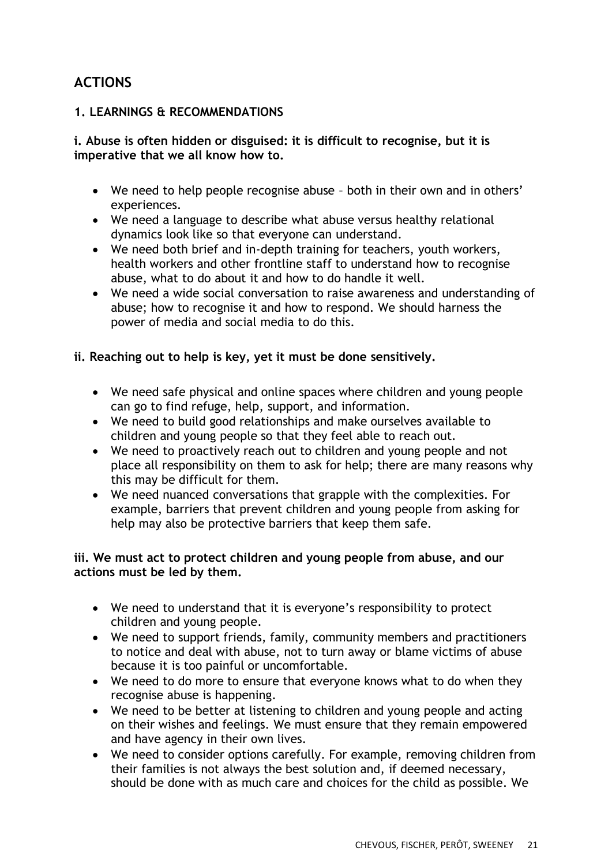## **ACTIONS**

### **1. LEARNINGS & RECOMMENDATIONS**

#### **i. Abuse is often hidden or disguised: it is difficult to recognise, but it is imperative that we all know how to.**

- We need to help people recognise abuse both in their own and in others' experiences.
- We need a language to describe what abuse versus healthy relational dynamics look like so that everyone can understand.
- We need both brief and in-depth training for teachers, youth workers, health workers and other frontline staff to understand how to recognise abuse, what to do about it and how to do handle it well.
- We need a wide social conversation to raise awareness and understanding of abuse; how to recognise it and how to respond. We should harness the power of media and social media to do this.

### **ii. Reaching out to help is key, yet it must be done sensitively.**

- We need safe physical and online spaces where children and young people can go to find refuge, help, support, and information.
- We need to build good relationships and make ourselves available to children and young people so that they feel able to reach out.
- We need to proactively reach out to children and young people and not place all responsibility on them to ask for help; there are many reasons why this may be difficult for them.
- We need nuanced conversations that grapple with the complexities. For example, barriers that prevent children and young people from asking for help may also be protective barriers that keep them safe.

#### **iii. We must act to protect children and young people from abuse, and our actions must be led by them.**

- We need to understand that it is everyone's responsibility to protect children and young people.
- We need to support friends, family, community members and practitioners to notice and deal with abuse, not to turn away or blame victims of abuse because it is too painful or uncomfortable.
- We need to do more to ensure that everyone knows what to do when they recognise abuse is happening.
- We need to be better at listening to children and young people and acting on their wishes and feelings. We must ensure that they remain empowered and have agency in their own lives.
- We need to consider options carefully. For example, removing children from their families is not always the best solution and, if deemed necessary, should be done with as much care and choices for the child as possible. We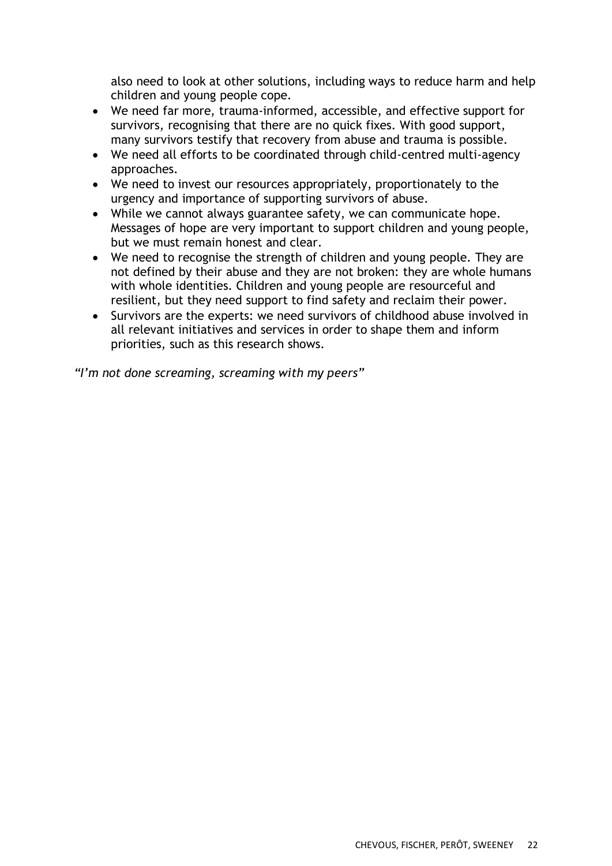also need to look at other solutions, including ways to reduce harm and help children and young people cope.

- We need far more, trauma-informed, accessible, and effective support for survivors, recognising that there are no quick fixes. With good support, many survivors testify that recovery from abuse and trauma is possible.
- We need all efforts to be coordinated through child-centred multi-agency approaches.
- We need to invest our resources appropriately, proportionately to the urgency and importance of supporting survivors of abuse.
- While we cannot always guarantee safety, we can communicate hope. Messages of hope are very important to support children and young people, but we must remain honest and clear.
- We need to recognise the strength of children and young people. They are not defined by their abuse and they are not broken: they are whole humans with whole identities. Children and young people are resourceful and resilient, but they need support to find safety and reclaim their power.
- Survivors are the experts: we need survivors of childhood abuse involved in all relevant initiatives and services in order to shape them and inform priorities, such as this research shows.

*"I'm not done screaming, screaming with my peers"*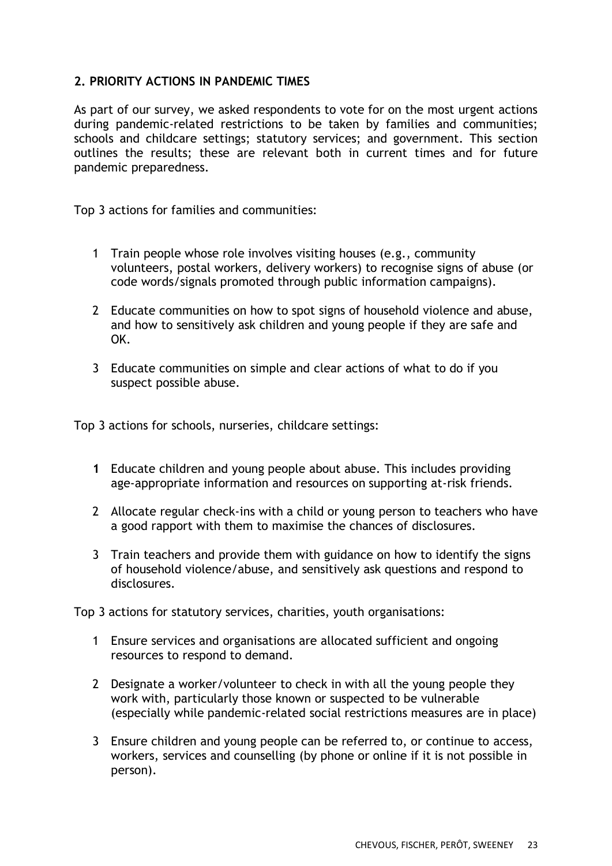### **2. PRIORITY ACTIONS IN PANDEMIC TIMES**

As part of our survey, we asked respondents to vote for on the most urgent actions during pandemic-related restrictions to be taken by families and communities; schools and childcare settings; statutory services; and government. This section outlines the results; these are relevant both in current times and for future pandemic preparedness.

Top 3 actions for families and communities:

- 1 Train people whose role involves visiting houses (e.g., community volunteers, postal workers, delivery workers) to recognise signs of abuse (or code words/signals promoted through public information campaigns).
- 2 Educate communities on how to spot signs of household violence and abuse, and how to sensitively ask children and young people if they are safe and OK.
- 3 Educate communities on simple and clear actions of what to do if you suspect possible abuse.

Top 3 actions for schools, nurseries, childcare settings:

- **1** Educate children and young people about abuse. This includes providing age-appropriate information and resources on supporting at-risk friends.
- 2 Allocate regular check-ins with a child or young person to teachers who have a good rapport with them to maximise the chances of disclosures.
- 3 Train teachers and provide them with guidance on how to identify the signs of household violence/abuse, and sensitively ask questions and respond to disclosures.

Top 3 actions for statutory services, charities, youth organisations:

- 1 Ensure services and organisations are allocated sufficient and ongoing resources to respond to demand.
- 2 Designate a worker/volunteer to check in with all the young people they work with, particularly those known or suspected to be vulnerable (especially while pandemic-related social restrictions measures are in place)
- 3 Ensure children and young people can be referred to, or continue to access, workers, services and counselling (by phone or online if it is not possible in person).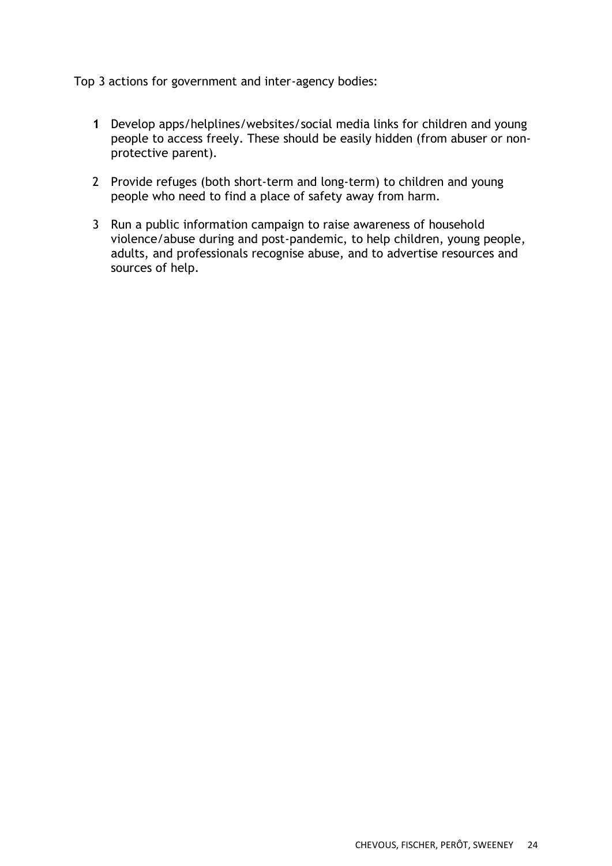Top 3 actions for government and inter-agency bodies:

- **1** Develop apps/helplines/websites/social media links for children and young people to access freely. These should be easily hidden (from abuser or nonprotective parent).
- 2 Provide refuges (both short-term and long-term) to children and young people who need to find a place of safety away from harm.
- 3 Run a public information campaign to raise awareness of household violence/abuse during and post-pandemic, to help children, young people, adults, and professionals recognise abuse, and to advertise resources and sources of help.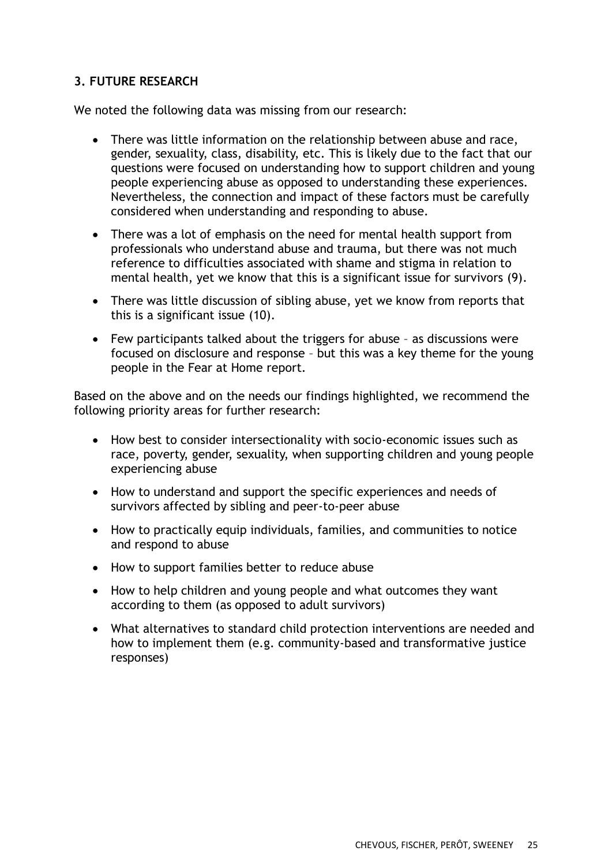## **3. FUTURE RESEARCH**

We noted the following data was missing from our research:

- There was little information on the relationship between abuse and race, gender, sexuality, class, disability, etc. This is likely due to the fact that our questions were focused on understanding how to support children and young people experiencing abuse as opposed to understanding these experiences. Nevertheless, the connection and impact of these factors must be carefully considered when understanding and responding to abuse.
- There was a lot of emphasis on the need for mental health support from professionals who understand abuse and trauma, but there was not much reference to difficulties associated with shame and stigma in relation to mental health, yet we know that this is a significant issue for survivors (9).
- There was little discussion of sibling abuse, yet we know from reports that this is a significant issue (10).
- Few participants talked about the triggers for abuse as discussions were focused on disclosure and response – but this was a key theme for the young people in the Fear at Home report.

Based on the above and on the needs our findings highlighted, we recommend the following priority areas for further research:

- How best to consider intersectionality with socio-economic issues such as race, poverty, gender, sexuality, when supporting children and young people experiencing abuse
- How to understand and support the specific experiences and needs of survivors affected by sibling and peer-to-peer abuse
- How to practically equip individuals, families, and communities to notice and respond to abuse
- How to support families better to reduce abuse
- How to help children and young people and what outcomes they want according to them (as opposed to adult survivors)
- What alternatives to standard child protection interventions are needed and how to implement them (e.g. community-based and transformative justice responses)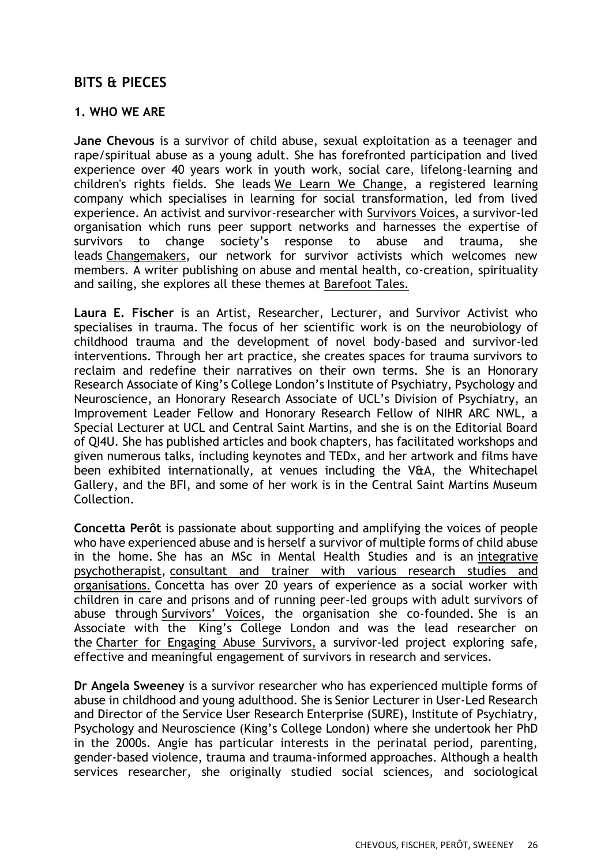## **BITS & PIECES**

#### **1. WHO WE ARE**

**Jane Chevous** is a survivor of child abuse, sexual exploitation as a teenager and rape/spiritual abuse as a young adult. She has forefronted participation and lived experience over 40 years work in youth work, social care, lifelong-learning and children's rights fields. She leads [We Learn We Change,](http://www.welearnwechange.org.uk/) a registered learning company which specialises in learning for social transformation, led from lived experience. An activist and survivor-researcher with [Survivors Voices,](http://www.survivorsvoices.org/) a survivor-led organisation which runs peer support networks and harnesses the expertise of survivors to change society's response to abuse and trauma, she leads [Changemakers,](https://survivorsvoices.org/changemakers/) our network for survivor activists which welcomes new members. A writer publishing on abuse and mental health, co-creation, spirituality and sailing, she explores all these themes at [Barefoot Tales.](http://www.barefoot-tales.uk/)

**Laura E. Fischer** is an Artist, Researcher, Lecturer, and Survivor Activist who specialises in trauma. The focus of her scientific work is on the neurobiology of childhood trauma and the development of novel body-based and survivor-led interventions. Through her art practice, she creates spaces for trauma survivors to reclaim and redefine their narratives on their own terms. She is an Honorary Research Associate of King's College London's Institute of Psychiatry, Psychology and Neuroscience, an Honorary Research Associate of UCL's Division of Psychiatry, an Improvement Leader Fellow and Honorary Research Fellow of NIHR ARC NWL, a Special Lecturer at UCL and Central Saint Martins, and she is on the Editorial Board of QI4U. She has published articles and book chapters, has facilitated workshops and given numerous talks, including keynotes and TEDx, and her artwork and films have been exhibited internationally, at venues including the V&A, the Whitechapel Gallery, and the BFI, and some of her work is in the Central Saint Martins Museum Collection.

**Concetta Perôt** is passionate about supporting and amplifying the voices of people who have experienced abuse and is herself a survivor of multiple forms of child abuse in the home. She has an MSc in Mental Health Studies and is an [integrative](https://eur03.safelinks.protection.outlook.com/?url=http%3A%2F%2Fwww.concettaperot.com%2F&data=04%7C01%7Cangela.sweeney%40kcl.ac.uk%7Cd25bb77d91914ace831b08d8d40e701a%7C8370cf1416f34c16b83c724071654356%7C0%7C0%7C637492505774993021%7CUnknown%7CTWFpbGZsb3d8eyJWIjoiMC4wLjAwMDAiLCJQIjoiV2luMzIiLCJBTiI6Ik1haWwiLCJXVCI6Mn0%3D%7C1000&sdata=bVol%2F1wMdnnZKV9u4fA6aNn271e1flsS2gvVCwcl1Fo%3D&reserved=0) [psychotherapist,](https://eur03.safelinks.protection.outlook.com/?url=http%3A%2F%2Fwww.concettaperot.com%2F&data=04%7C01%7Cangela.sweeney%40kcl.ac.uk%7Cd25bb77d91914ace831b08d8d40e701a%7C8370cf1416f34c16b83c724071654356%7C0%7C0%7C637492505774993021%7CUnknown%7CTWFpbGZsb3d8eyJWIjoiMC4wLjAwMDAiLCJQIjoiV2luMzIiLCJBTiI6Ik1haWwiLCJXVCI6Mn0%3D%7C1000&sdata=bVol%2F1wMdnnZKV9u4fA6aNn271e1flsS2gvVCwcl1Fo%3D&reserved=0) [consultant](https://eur03.safelinks.protection.outlook.com/?url=http%3A%2F%2Fwww.concettaperot.com%2F&data=04%7C01%7Cangela.sweeney%40kcl.ac.uk%7Cd25bb77d91914ace831b08d8d40e701a%7C8370cf1416f34c16b83c724071654356%7C0%7C0%7C637492505775003012%7CUnknown%7CTWFpbGZsb3d8eyJWIjoiMC4wLjAwMDAiLCJQIjoiV2luMzIiLCJBTiI6Ik1haWwiLCJXVCI6Mn0%3D%7C1000&sdata=VdgVYRPjc21ZLWzCtKQ%2B6SnNhfrLH25jmlykOZHhEDo%3D&reserved=0) and trainer with various research studies and [organisations.](https://eur03.safelinks.protection.outlook.com/?url=http%3A%2F%2Fwww.concettaperot.com%2F&data=04%7C01%7Cangela.sweeney%40kcl.ac.uk%7Cd25bb77d91914ace831b08d8d40e701a%7C8370cf1416f34c16b83c724071654356%7C0%7C0%7C637492505775003012%7CUnknown%7CTWFpbGZsb3d8eyJWIjoiMC4wLjAwMDAiLCJQIjoiV2luMzIiLCJBTiI6Ik1haWwiLCJXVCI6Mn0%3D%7C1000&sdata=VdgVYRPjc21ZLWzCtKQ%2B6SnNhfrLH25jmlykOZHhEDo%3D&reserved=0) Concetta has over 20 years of experience as a social worker with children in care and prisons and of running peer-led groups with adult survivors of abuse through [Survivors'](https://eur03.safelinks.protection.outlook.com/?url=http%3A%2F%2Fsurvivorsvoices.org%2F&data=04%7C01%7Cangela.sweeney%40kcl.ac.uk%7Cd25bb77d91914ace831b08d8d40e701a%7C8370cf1416f34c16b83c724071654356%7C0%7C0%7C637492505775003012%7CUnknown%7CTWFpbGZsb3d8eyJWIjoiMC4wLjAwMDAiLCJQIjoiV2luMzIiLCJBTiI6Ik1haWwiLCJXVCI6Mn0%3D%7C1000&sdata=Z47t0wYzT4Q9aHYSH5TfNBQO3weUiIUwui%2BNHzjg8hE%3D&reserved=0) Voices, the organisation she co-founded. She is an Associate with the King's College London and was the lead researcher on the Charter for Engaging Abuse [Survivors,](https://eur03.safelinks.protection.outlook.com/?url=http%3A%2F%2Fsurvivorsvoices.org%2Fcharter%2F&data=04%7C01%7Cangela.sweeney%40kcl.ac.uk%7Cd25bb77d91914ace831b08d8d40e701a%7C8370cf1416f34c16b83c724071654356%7C0%7C0%7C637492505775013004%7CUnknown%7CTWFpbGZsb3d8eyJWIjoiMC4wLjAwMDAiLCJQIjoiV2luMzIiLCJBTiI6Ik1haWwiLCJXVCI6Mn0%3D%7C1000&sdata=QzlF8uJ0PzMbz3l9yTJ9CKmmpJezw2Z4aYR8e3Psa00%3D&reserved=0) a survivor-led project exploring safe, effective and meaningful engagement of survivors in research and services.

**Dr Angela Sweeney** is a survivor researcher who has experienced multiple forms of abuse in childhood and young adulthood. She is Senior Lecturer in User-Led Research and Director of the Service User Research Enterprise (SURE), Institute of Psychiatry, Psychology and Neuroscience (King's College London) where she undertook her PhD in the 2000s. Angie has particular interests in the perinatal period, parenting, gender-based violence, trauma and trauma-informed approaches. Although a health services researcher, she originally studied social sciences, and sociological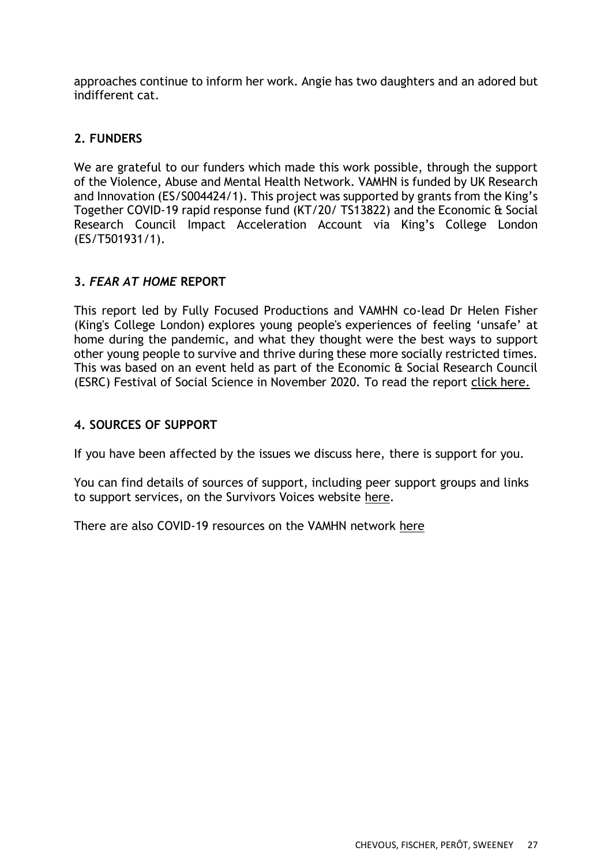approaches continue to inform her work. Angie has two daughters and an adored but indifferent cat.

### **2. FUNDERS**

We are grateful to our funders which made this work possible, through the support of the Violence, Abuse and Mental Health Network. VAMHN is funded by UK Research and Innovation (ES/S004424/1). This project was supported by grants from the King's Together COVID-19 rapid response fund (KT/20/ TS13822) and the Economic & Social Research Council Impact Acceleration Account via King's College London (ES/T501931/1).

### **3.** *FEAR AT HOME* **REPORT**

This report led by Fully Focused Productions and VAMHN co-lead Dr Helen Fisher (King's College London) explores young people's experiences of feeling 'unsafe' at home during the pandemic, and what they thought were the best ways to support other young people to survive and thrive during these more socially restricted times. This was based on an event held as part of the Economic & Social Research Council (ESRC) Festival of Social Science in November 2020. To read the report [click here.](http://www.vamhn.co.uk/uploads/1/2/2/7/122741688/fear_at_home_report_final.pdf) 

#### **4. SOURCES OF SUPPORT**

If you have been affected by the issues we discuss here, there is support for you.

You can find details of sources of support, including peer support groups and links to support services, on the Survivors Voices website [here.](https://survivorsvoices.org/support/)

There are also COVID-19 resources on the VAMHN network [here](http://www.vamhn.co.uk/covid-19-resources.html)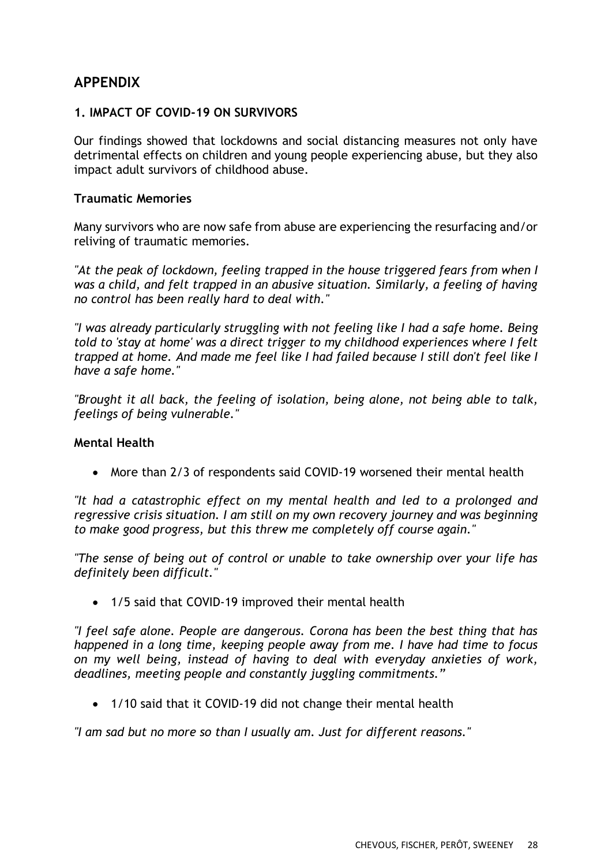## **APPENDIX**

#### **1. IMPACT OF COVID-19 ON SURVIVORS**

Our findings showed that lockdowns and social distancing measures not only have detrimental effects on children and young people experiencing abuse, but they also impact adult survivors of childhood abuse.

#### **Traumatic Memories**

Many survivors who are now safe from abuse are experiencing the resurfacing and/or reliving of traumatic memories.

*"At the peak of lockdown, feeling trapped in the house triggered fears from when I was a child, and felt trapped in an abusive situation. Similarly, a feeling of having no control has been really hard to deal with."* 

*"I was already particularly struggling with not feeling like I had a safe home. Being told to 'stay at home' was a direct trigger to my childhood experiences where I felt trapped at home. And made me feel like I had failed because I still don't feel like I have a safe home."* 

*"Brought it all back, the feeling of isolation, being alone, not being able to talk, feelings of being vulnerable."*

#### **Mental Health**

• More than 2/3 of respondents said COVID-19 worsened their mental health

*"It had a catastrophic effect on my mental health and led to a prolonged and regressive crisis situation. I am still on my own recovery journey and was beginning to make good progress, but this threw me completely off course again."*

*"The sense of being out of control or unable to take ownership over your life has definitely been difficult."*

• 1/5 said that COVID-19 improved their mental health

*"I feel safe alone. People are dangerous. Corona has been the best thing that has happened in a long time, keeping people away from me. I have had time to focus on my well being, instead of having to deal with everyday anxieties of work, deadlines, meeting people and constantly juggling commitments."*

• 1/10 said that it COVID-19 did not change their mental health

*"I am sad but no more so than I usually am. Just for different reasons."*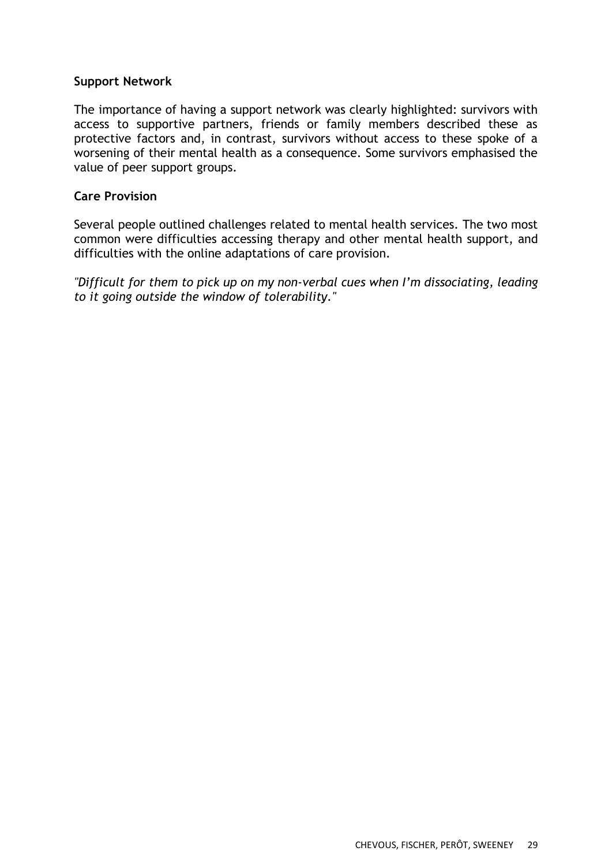#### **Support Network**

The importance of having a support network was clearly highlighted: survivors with access to supportive partners, friends or family members described these as protective factors and, in contrast, survivors without access to these spoke of a worsening of their mental health as a consequence. Some survivors emphasised the value of peer support groups.

#### **Care Provision**

Several people outlined challenges related to mental health services. The two most common were difficulties accessing therapy and other mental health support, and difficulties with the online adaptations of care provision.

*"Difficult for them to pick up on my non-verbal cues when I'm dissociating, leading to it going outside the window of tolerability."*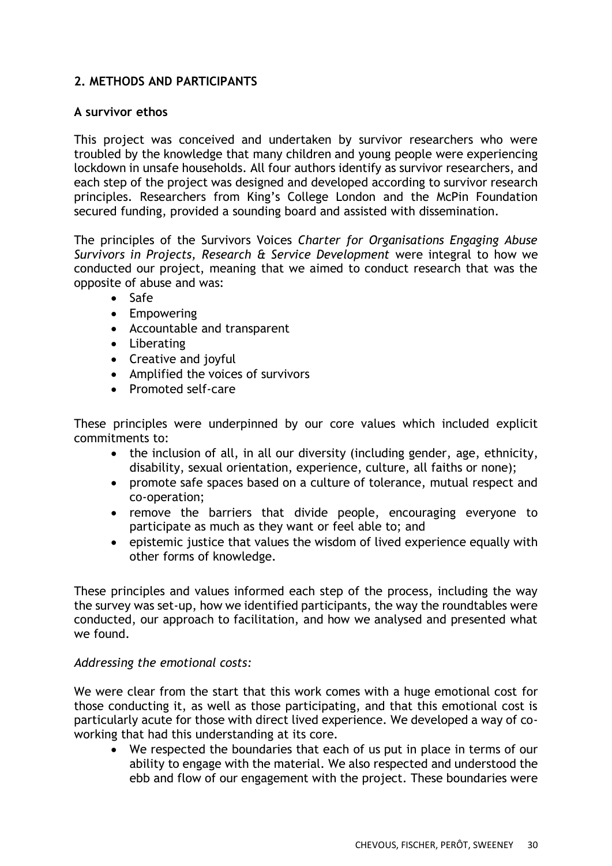## **2. METHODS AND PARTICIPANTS**

#### **A survivor ethos**

This project was conceived and undertaken by survivor researchers who were troubled by the knowledge that many children and young people were experiencing lockdown in unsafe households. All four authors identify as survivor researchers, and each step of the project was designed and developed according to survivor research principles. Researchers from King's College London and the McPin Foundation secured funding, provided a sounding board and assisted with dissemination.

The principles of the Survivors Voices *Charter for Organisations Engaging Abuse Survivors in Projects, Research & Service Development* were integral to how we conducted our project, meaning that we aimed to conduct research that was the opposite of abuse and was:

- Safe
- Empowering
- Accountable and transparent
- Liberating
- Creative and joyful
- Amplified the voices of survivors
- Promoted self-care

These principles were underpinned by our core values which included explicit commitments to:

- the inclusion of all, in all our diversity (including gender, age, ethnicity, disability, sexual orientation, experience, culture, all faiths or none);
- promote safe spaces based on a culture of tolerance, mutual respect and co-operation;
- remove the barriers that divide people, encouraging everyone to participate as much as they want or feel able to; and
- epistemic justice that values the wisdom of lived experience equally with other forms of knowledge.

These principles and values informed each step of the process, including the way the survey was set-up, how we identified participants, the way the roundtables were conducted, our approach to facilitation, and how we analysed and presented what we found.

#### *Addressing the emotional costs:*

We were clear from the start that this work comes with a huge emotional cost for those conducting it, as well as those participating, and that this emotional cost is particularly acute for those with direct lived experience. We developed a way of coworking that had this understanding at its core.

• We respected the boundaries that each of us put in place in terms of our ability to engage with the material. We also respected and understood the ebb and flow of our engagement with the project. These boundaries were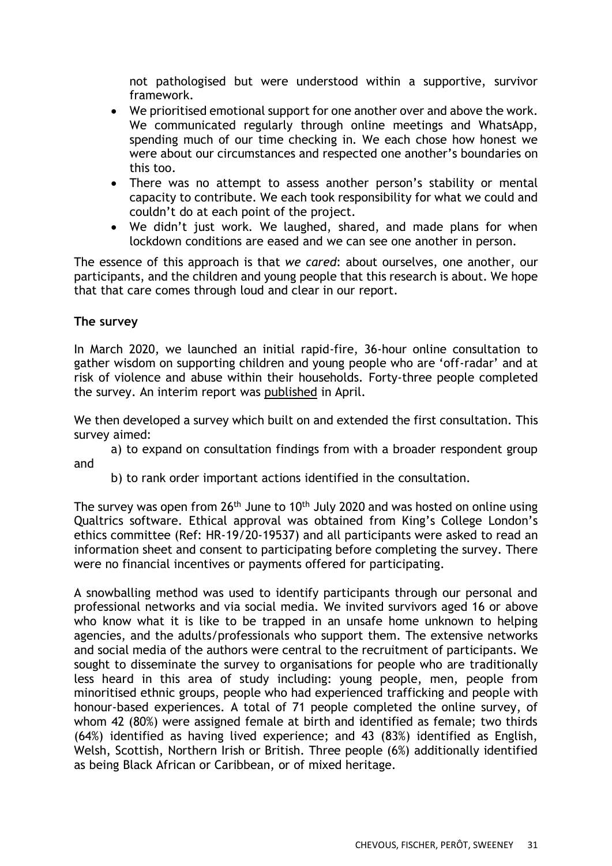not pathologised but were understood within a supportive, survivor framework.

- We prioritised emotional support for one another over and above the work. We communicated regularly through online meetings and WhatsApp, spending much of our time checking in. We each chose how honest we were about our circumstances and respected one another's boundaries on this too.
- There was no attempt to assess another person's stability or mental capacity to contribute. We each took responsibility for what we could and couldn't do at each point of the project.
- We didn't just work. We laughed, shared, and made plans for when lockdown conditions are eased and we can see one another in person.

The essence of this approach is that *we cared*: about ourselves, one another, our participants, and the children and young people that this research is about. We hope that that care comes through loud and clear in our report.

### **The survey**

In March 2020, we launched an initial rapid-fire, 36-hour online consultation to gather wisdom on supporting children and young people who are 'off-radar' and at risk of violence and abuse within their households. Forty-three people completed the survey. An interim report was [published](http://www.vamhn.co.uk/uploads/1/2/2/7/122741688/off_radar_c_yp_at_risk_report_part_1_.pdf) in April.

We then developed a survey which built on and extended the first consultation. This survey aimed:

a) to expand on consultation findings from with a broader respondent group and

b) to rank order important actions identified in the consultation.

The survey was open from  $26<sup>th</sup>$  June to 10<sup>th</sup> July 2020 and was hosted on online using Qualtrics software. Ethical approval was obtained from King's College London's ethics committee (Ref: HR-19/20-19537) and all participants were asked to read an information sheet and consent to participating before completing the survey. There were no financial incentives or payments offered for participating.

A snowballing method was used to identify participants through our personal and professional networks and via social media. We invited survivors aged 16 or above who know what it is like to be trapped in an unsafe home unknown to helping agencies, and the adults/professionals who support them. The extensive networks and social media of the authors were central to the recruitment of participants. We sought to disseminate the survey to organisations for people who are traditionally less heard in this area of study including: young people, men, people from minoritised ethnic groups, people who had experienced trafficking and people with honour-based experiences. A total of 71 people completed the online survey, of whom 42 (80%) were assigned female at birth and identified as female; two thirds (64%) identified as having lived experience; and 43 (83%) identified as English, Welsh, Scottish, Northern Irish or British. Three people (6%) additionally identified as being Black African or Caribbean, or of mixed heritage.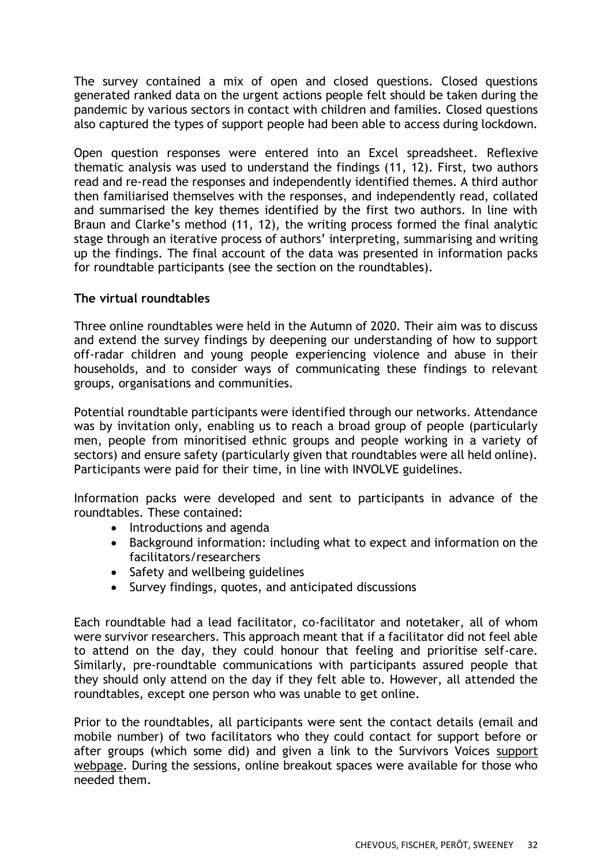The survey contained a mix of open and closed questions. Closed questions generated ranked data on the urgent actions people felt should be taken during the pandemic by various sectors in contact with children and families. Closed questions also captured the types of support people had been able to access during lockdown.

Open question responses were entered into an Excel spreadsheet. Reflexive thematic analysis was used to understand the findings (11, 12). First, two authors read and re-read the responses and independently identified themes. A third author then familiarised themselves with the responses, and independently read, collated and summarised the key themes identified by the first two authors. In line with Braun and Clarke's method (11, 12), the writing process formed the final analytic stage through an iterative process of authors' interpreting, summarising and writing up the findings. The final account of the data was presented in information packs for roundtable participants (see the section on the roundtables).

#### **The virtual roundtables**

Three online roundtables were held in the Autumn of 2020. Their aim was to discuss and extend the survey findings by deepening our understanding of how to support off-radar children and young people experiencing violence and abuse in their households, and to consider ways of communicating these findings to relevant groups, organisations and communities.

Potential roundtable participants were identified through our networks. Attendance was by invitation only, enabling us to reach a broad group of people (particularly men, people from minoritised ethnic groups and people working in a variety of sectors) and ensure safety (particularly given that roundtables were all held online). Participants were paid for their time, in line with INVOLVE guidelines.

Information packs were developed and sent to participants in advance of the roundtables. These contained:

- Introductions and agenda
- Background information: including what to expect and information on the facilitators/researchers
- Safety and wellbeing guidelines
- Survey findings, quotes, and anticipated discussions

Each roundtable had a lead facilitator, co-facilitator and notetaker, all of whom were survivor researchers. This approach meant that if a facilitator did not feel able to attend on the day, they could honour that feeling and prioritise self-care. Similarly, pre-roundtable communications with participants assured people that they should only attend on the day if they felt able to. However, all attended the roundtables, except one person who was unable to get online.

Prior to the roundtables, all participants were sent the contact details (email and mobile number) of two facilitators who they could contact for support before or after groups (which some did) and given a link to the Survivors Voices [support](https://survivorsvoices.org/support/)  [webpage.](https://survivorsvoices.org/support/) During the sessions, online breakout spaces were available for those who needed them.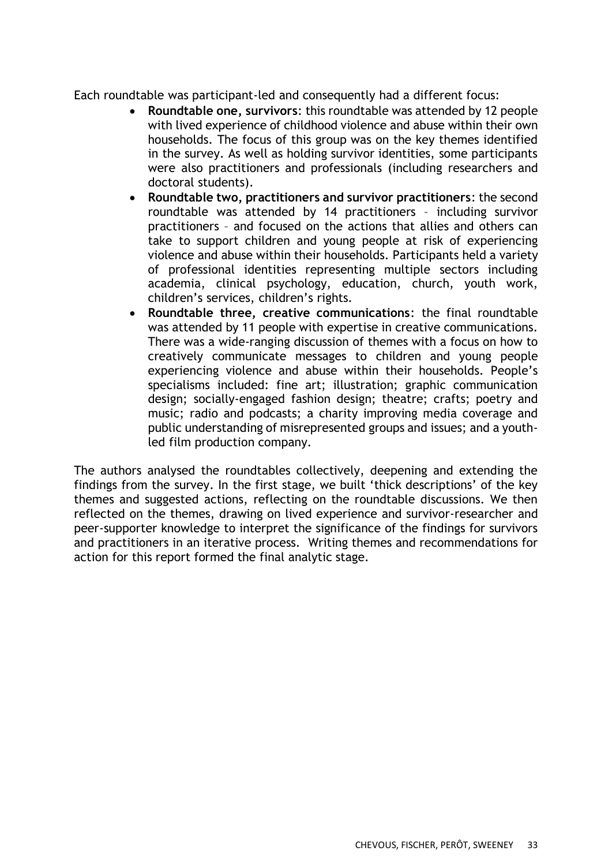Each roundtable was participant-led and consequently had a different focus:

- **Roundtable one, survivors**: this roundtable was attended by 12 people with lived experience of childhood violence and abuse within their own households. The focus of this group was on the key themes identified in the survey. As well as holding survivor identities, some participants were also practitioners and professionals (including researchers and doctoral students).
- **Roundtable two, practitioners and survivor practitioners**: the second roundtable was attended by 14 practitioners – including survivor practitioners – and focused on the actions that allies and others can take to support children and young people at risk of experiencing violence and abuse within their households. Participants held a variety of professional identities representing multiple sectors including academia, clinical psychology, education, church, youth work, children's services, children's rights.
- **Roundtable three, creative communications**: the final roundtable was attended by 11 people with expertise in creative communications. There was a wide-ranging discussion of themes with a focus on how to creatively communicate messages to children and young people experiencing violence and abuse within their households. People's specialisms included: fine art; illustration; graphic communication design; socially-engaged fashion design; theatre; crafts; poetry and music; radio and podcasts; a charity improving media coverage and public understanding of misrepresented groups and issues; and a youthled film production company.

The authors analysed the roundtables collectively, deepening and extending the findings from the survey. In the first stage, we built 'thick descriptions' of the key themes and suggested actions, reflecting on the roundtable discussions. We then reflected on the themes, drawing on lived experience and survivor-researcher and peer-supporter knowledge to interpret the significance of the findings for survivors and practitioners in an iterative process. Writing themes and recommendations for action for this report formed the final analytic stage.